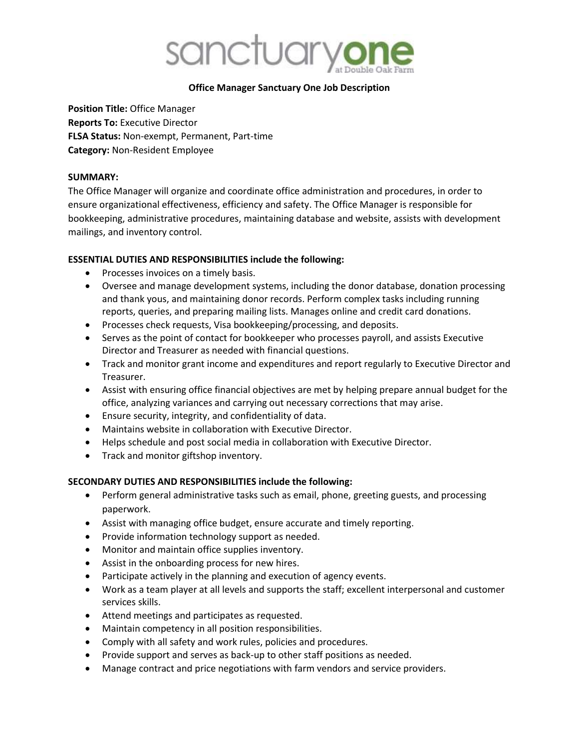

### **Office Manager Sanctuary One Job Description**

**Position Title:** Office Manager **Reports To:** Executive Director **FLSA Status:** Non-exempt, Permanent, Part-time **Category:** Non-Resident Employee

#### **SUMMARY:**

The Office Manager will organize and coordinate office administration and procedures, in order to ensure organizational effectiveness, efficiency and safety. The Office Manager is responsible for bookkeeping, administrative procedures, maintaining database and website, assists with development mailings, and inventory control.

### **ESSENTIAL DUTIES AND RESPONSIBILITIES include the following:**

- Processes invoices on a timely basis.
- Oversee and manage development systems, including the donor database, donation processing and thank yous, and maintaining donor records. Perform complex tasks including running reports, queries, and preparing mailing lists. Manages online and credit card donations.
- Processes check requests, Visa bookkeeping/processing, and deposits.
- Serves as the point of contact for bookkeeper who processes payroll, and assists Executive Director and Treasurer as needed with financial questions.
- Track and monitor grant income and expenditures and report regularly to Executive Director and Treasurer.
- Assist with ensuring office financial objectives are met by helping prepare annual budget for the office, analyzing variances and carrying out necessary corrections that may arise.
- Ensure security, integrity, and confidentiality of data.
- Maintains website in collaboration with Executive Director.
- Helps schedule and post social media in collaboration with Executive Director.
- Track and monitor giftshop inventory.

### **SECONDARY DUTIES AND RESPONSIBILITIES include the following:**

- Perform general administrative tasks such as email, phone, greeting guests, and processing paperwork.
- Assist with managing office budget, ensure accurate and timely reporting.
- Provide information technology support as needed.
- Monitor and maintain office supplies inventory.
- Assist in the onboarding process for new hires.
- Participate actively in the planning and execution of agency events.
- Work as a team player at all levels and supports the staff; excellent interpersonal and customer services skills.
- Attend meetings and participates as requested.
- Maintain competency in all position responsibilities.
- Comply with all safety and work rules, policies and procedures.
- Provide support and serves as back-up to other staff positions as needed.
- Manage contract and price negotiations with farm vendors and service providers.